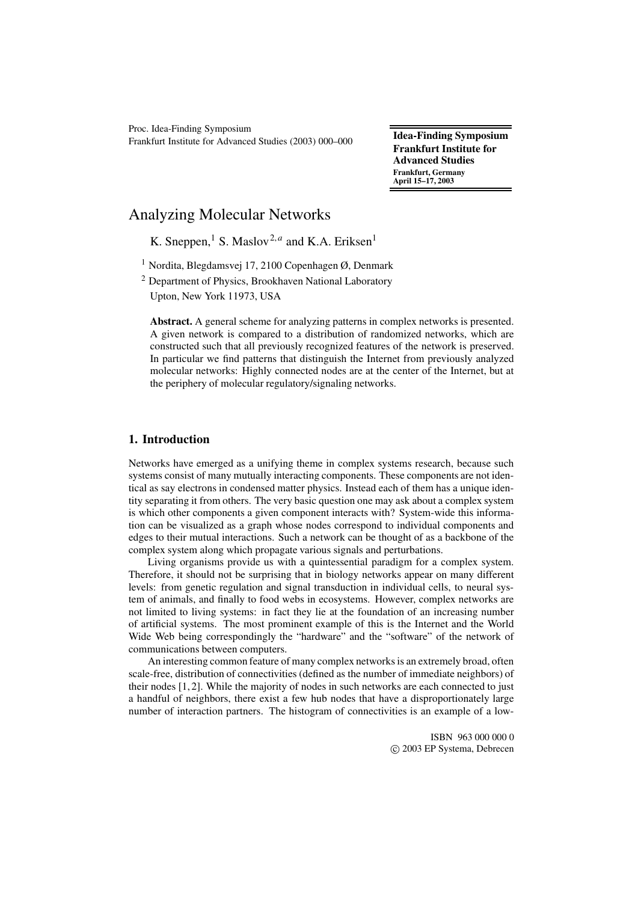Proc. Idea-Finding Symposium Frankfurt Institute for Advanced Studies (2003) 000–000 **Idea-Finding Symposium**

**Frankfurt Institute for Advanced Studies Frankfurt, Germany April 15–17, 2003**

# Analyzing Molecular Networks

K. Sneppen,<sup>1</sup> S. Maslov<sup>2,*a*</sup> and K.A. Eriksen<sup>1</sup>

<sup>1</sup> Nordita, Blegdamsvej 17, 2100 Copenhagen  $\varnothing$ , Denmark

<sup>2</sup> Department of Physics, Brookhaven National Laboratory Upton, New York 11973, USA

**Abstract.** A general scheme for analyzing patterns in complex networks is presented. A given network is compared to a distribution of randomized networks, which are constructed such that all previously recognized features of the network is preserved. In particular we find patterns that distinguish the Internet from previously analyzed molecular networks: Highly connected nodes are at the center of the Internet, but at the periphery of molecular regulatory/signaling networks.

## **1. Introduction**

Networks have emerged as a unifying theme in complex systems research, because such systems consist of many mutually interacting components. These components are not identical as say electrons in condensed matter physics. Instead each of them has a unique identity separating it from others. The very basic question one may ask about a complex system is which other components a given component interacts with? System-wide this information can be visualized as a graph whose nodes correspond to individual components and edges to their mutual interactions. Such a network can be thought of as a backbone of the complex system along which propagate various signals and perturbations.

Living organisms provide us with a quintessential paradigm for a complex system. Therefore, it should not be surprising that in biology networks appear on many different levels: from genetic regulation and signal transduction in individual cells, to neural system of animals, and finally to food webs in ecosystems. However, complex networks are not limited to living systems: in fact they lie at the foundation of an increasing number of artificial systems. The most prominent example of this is the Internet and the World Wide Web being correspondingly the "hardware" and the "software" of the network of communications between computers.

An interesting common feature of many complex networks is an extremely broad, often scale-free, distribution of connectivities (defined as the number of immediate neighbors) of their nodes [1, 2]. While the majority of nodes in such networks are each connected to just a handful of neighbors, there exist a few hub nodes that have a disproportionately large number of interaction partners. The histogram of connectivities is an example of a low-

> ISBN 963 000 000 0 c 2003 EP Systema, Debrecen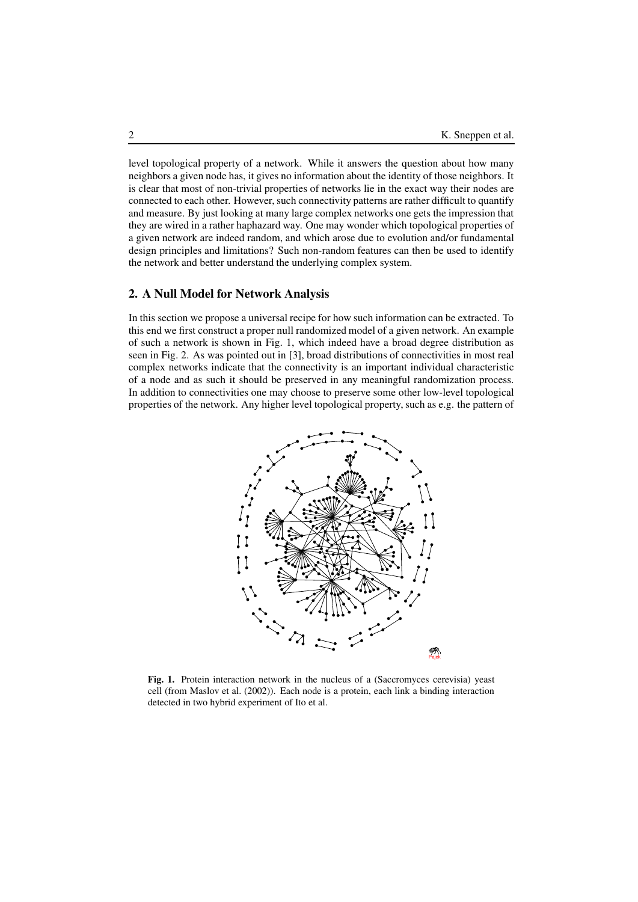level topological property of a network. While it answers the question about how many neighbors a given node has, it gives no information about the identity of those neighbors. It is clear that most of non-trivial properties of networks lie in the exact way their nodes are connected to each other. However, such connectivity patterns are rather difficult to quantify and measure. By just looking at many large complex networks one gets the impression that they are wired in a rather haphazard way. One may wonder which topological properties of a given network are indeed random, and which arose due to evolution and/or fundamental design principles and limitations? Such non-random features can then be used to identify the network and better understand the underlying complex system.

### **2. A Null Model for Network Analysis**

In this section we propose a universal recipe for how such information can be extracted. To this end we first construct a proper null randomized model of a given network. An example of such a network is shown in Fig. 1, which indeed have a broad degree distribution as seen in Fig. 2. As was pointed out in [3], broad distributions of connectivities in most real complex networks indicate that the connectivity is an important individual characteristic of a node and as such it should be preserved in any meaningful randomization process. In addition to connectivities one may choose to preserve some other low-level topological properties of the network. Any higher level topological property, such as e.g. the pattern of



**Fig. 1.** Protein interaction network in the nucleus of a (Saccromyces cerevisia) yeast cell (from Maslov et al. (2002)). Each node is a protein, each link a binding interaction detected in two hybrid experiment of Ito et al.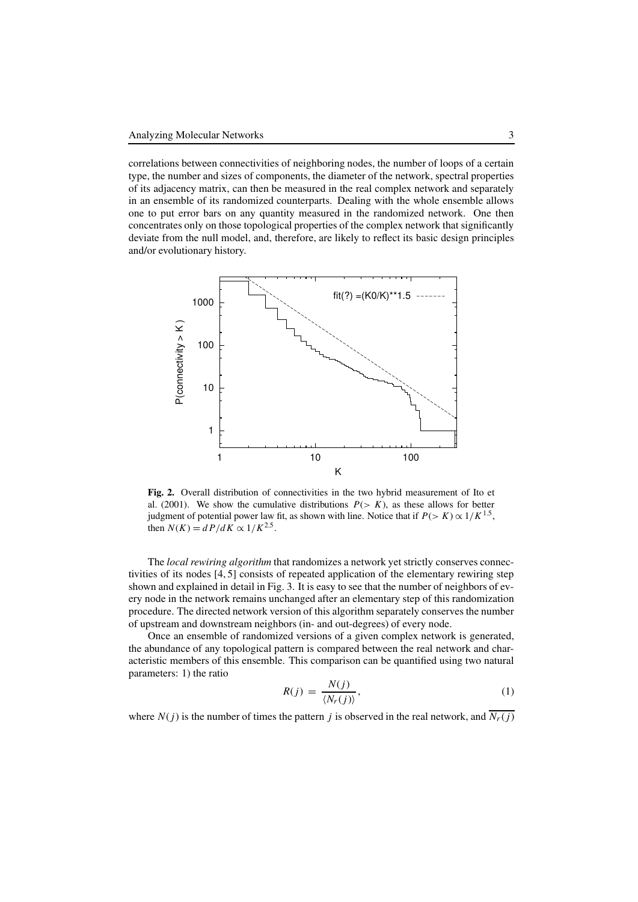correlations between connectivities of neighboring nodes, the number of loops of a certain type, the number and sizes of components, the diameter of the network, spectral properties of its adjacency matrix, can then be measured in the real complex network and separately in an ensemble of its randomized counterparts. Dealing with the whole ensemble allows one to put error bars on any quantity measured in the randomized network. One then concentrates only on those topological properties of the complex network that significantly deviate from the null model, and, therefore, are likely to reflect its basic design principles and/or evolutionary history.



**Fig. 2.** Overall distribution of connectivities in the two hybrid measurement of Ito et al. (2001). We show the cumulative distributions  $P(> K)$ , as these allows for better judgment of potential power law fit, as shown with line. Notice that if  $P(> K) \propto 1/K^{1.5}$ , then  $N(K) = dP/dK \propto 1/K^{2.5}$ .

The *local rewiring algorithm* that randomizes a network yet strictly conserves connectivities of its nodes [4, 5] consists of repeated application of the elementary rewiring step shown and explained in detail in Fig. 3. It is easy to see that the number of neighbors of every node in the network remains unchanged after an elementary step of this randomization procedure. The directed network version of this algorithm separately conserves the number of upstream and downstream neighbors (in- and out-degrees) of every node.

Once an ensemble of randomized versions of a given complex network is generated, the abundance of any topological pattern is compared between the real network and characteristic members of this ensemble. This comparison can be quantified using two natural parameters: 1) the ratio

$$
R(j) = \frac{N(j)}{\langle N_r(j) \rangle},\tag{1}
$$

where  $N(j)$  is the number of times the pattern *j* is observed in the real network, and  $\overline{N_r(j)}$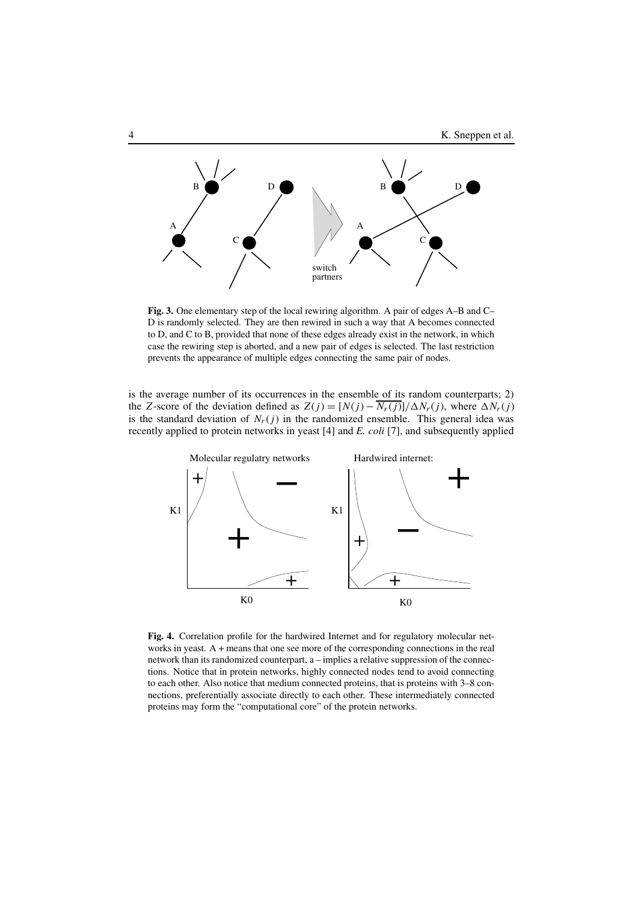

**Fig. 3.** One elementary step of the local rewiring algorithm. A pair of edges A–B and C– D is randomly selected. They are then rewired in such a way that A becomes connected to D, and C to B, provided that none of these edges already exist in the network, in which case the rewiring step is aborted, and a new pair of edges is selected. The last restriction prevents the appearance of multiple edges connecting the same pair of nodes.

is the average number of its occurrences in the ensemble of its random counterparts; 2) the *Z*-score of the deviation defined as  $Z(j) = [N(j) - \overline{N_r(j)}]/\Delta N_r(j)$ , where  $\Delta N_r(j)$ is the standard deviation of  $N_r(j)$  in the randomized ensemble. This general idea was recently applied to protein networks in yeast [4] and *E. coli* [7], and subsequently applied



**Fig. 4.** Correlation profile for the hardwired Internet and for regulatory molecular networks in yeast. A + means that one see more of the corresponding connections in the real network than its randomized counterpart, a – implies a relative suppression of the connections. Notice that in protein networks, highly connected nodes tend to avoid connecting to each other. Also notice that medium connected proteins, that is proteins with 3–8 connections, preferentially associate directly to each other. These intermediately connected proteins may form the "computational core" of the protein networks.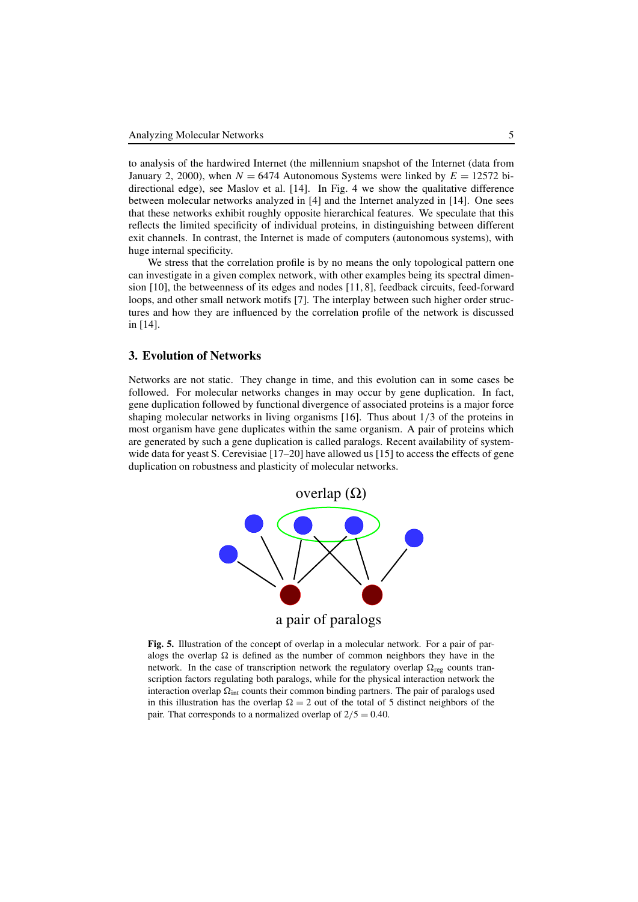to analysis of the hardwired Internet (the millennium snapshot of the Internet (data from January 2, 2000), when  $N = 6474$  Autonomous Systems were linked by  $E = 12572$  bidirectional edge), see Maslov et al. [14]. In Fig. 4 we show the qualitative difference between molecular networks analyzed in [4] and the Internet analyzed in [14]. One sees that these networks exhibit roughly opposite hierarchical features. We speculate that this reflects the limited specificity of individual proteins, in distinguishing between different exit channels. In contrast, the Internet is made of computers (autonomous systems), with huge internal specificity.

We stress that the correlation profile is by no means the only topological pattern one can investigate in a given complex network, with other examples being its spectral dimension [10], the betweenness of its edges and nodes [11, 8], feedback circuits, feed-forward loops, and other small network motifs [7]. The interplay between such higher order structures and how they are influenced by the correlation profile of the network is discussed in [14].

#### **3. Evolution of Networks**

Networks are not static. They change in time, and this evolution can in some cases be followed. For molecular networks changes in may occur by gene duplication. In fact, gene duplication followed by functional divergence of associated proteins is a major force shaping molecular networks in living organisms [16]. Thus about 1/3 of the proteins in most organism have gene duplicates within the same organism. A pair of proteins which are generated by such a gene duplication is called paralogs. Recent availability of systemwide data for yeast S. Cerevisiae [17–20] have allowed us [15] to access the effects of gene duplication on robustness and plasticity of molecular networks.



**Fig. 5.** Illustration of the concept of overlap in a molecular network. For a pair of paralogs the overlap  $\Omega$  is defined as the number of common neighbors they have in the network. In the case of transcription network the regulatory overlap  $\Omega_{reg}$  counts transcription factors regulating both paralogs, while for the physical interaction network the interaction overlap  $\Omega_{\text{int}}$  counts their common binding partners. The pair of paralogs used in this illustration has the overlap  $\Omega = 2$  out of the total of 5 distinct neighbors of the pair. That corresponds to a normalized overlap of  $2/5 = 0.40$ .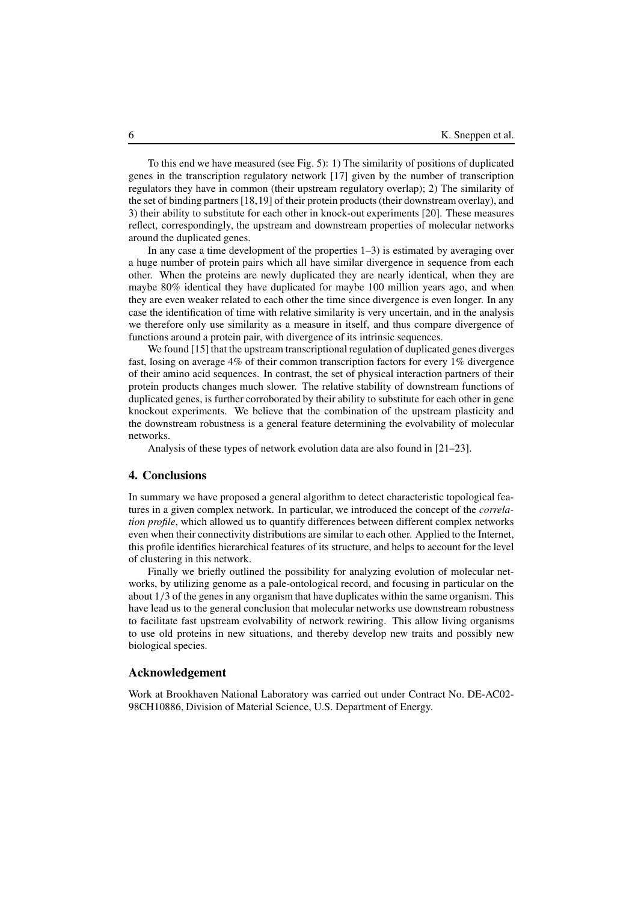To this end we have measured (see Fig. 5): 1) The similarity of positions of duplicated genes in the transcription regulatory network [17] given by the number of transcription regulators they have in common (their upstream regulatory overlap); 2) The similarity of the set of binding partners [18,19] of their protein products (their downstream overlay), and 3) their ability to substitute for each other in knock-out experiments [20]. These measures reflect, correspondingly, the upstream and downstream properties of molecular networks around the duplicated genes.

In any case a time development of the properties 1–3) is estimated by averaging over a huge number of protein pairs which all have similar divergence in sequence from each other. When the proteins are newly duplicated they are nearly identical, when they are maybe 80% identical they have duplicated for maybe 100 million years ago, and when they are even weaker related to each other the time since divergence is even longer. In any case the identification of time with relative similarity is very uncertain, and in the analysis we therefore only use similarity as a measure in itself, and thus compare divergence of functions around a protein pair, with divergence of its intrinsic sequences.

We found [15] that the upstream transcriptional regulation of duplicated genes diverges fast, losing on average 4% of their common transcription factors for every 1% divergence of their amino acid sequences. In contrast, the set of physical interaction partners of their protein products changes much slower. The relative stability of downstream functions of duplicated genes, is further corroborated by their ability to substitute for each other in gene knockout experiments. We believe that the combination of the upstream plasticity and the downstream robustness is a general feature determining the evolvability of molecular networks.

Analysis of these types of network evolution data are also found in [21–23].

### **4. Conclusions**

In summary we have proposed a general algorithm to detect characteristic topological features in a given complex network. In particular, we introduced the concept of the *correlation profile*, which allowed us to quantify differences between different complex networks even when their connectivity distributions are similar to each other. Applied to the Internet, this profile identifies hierarchical features of its structure, and helps to account for the level of clustering in this network.

Finally we briefly outlined the possibility for analyzing evolution of molecular networks, by utilizing genome as a pale-ontological record, and focusing in particular on the about 1/3 of the genes in any organism that have duplicates within the same organism. This have lead us to the general conclusion that molecular networks use downstream robustness to facilitate fast upstream evolvability of network rewiring. This allow living organisms to use old proteins in new situations, and thereby develop new traits and possibly new biological species.

#### **Acknowledgement**

Work at Brookhaven National Laboratory was carried out under Contract No. DE-AC02- 98CH10886, Division of Material Science, U.S. Department of Energy.